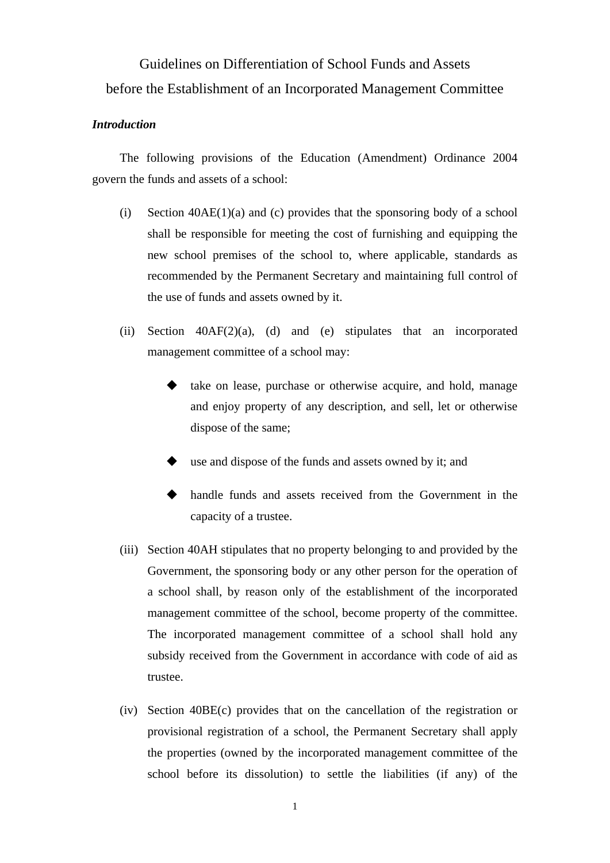# Guidelines on Differentiation of School Funds and Assets before the Establishment of an Incorporated Management Committee

#### *Introduction*

 The following provisions of the Education (Amendment) Ordinance 2004 govern the funds and assets of a school:

- (i) Section  $40AE(1)(a)$  and (c) provides that the sponsoring body of a school shall be responsible for meeting the cost of furnishing and equipping the new school premises of the school to, where applicable, standards as recommended by the Permanent Secretary and maintaining full control of the use of funds and assets owned by it.
- (ii) Section  $40AF(2)(a)$ , (d) and (e) stipulates that an incorporated management committee of a school may:
	- take on lease, purchase or otherwise acquire, and hold, manage and enjoy property of any description, and sell, let or otherwise dispose of the same;
	- use and dispose of the funds and assets owned by it; and
	- handle funds and assets received from the Government in the capacity of a trustee.
- (iii) Section 40AH stipulates that no property belonging to and provided by the Government, the sponsoring body or any other person for the operation of a school shall, by reason only of the establishment of the incorporated management committee of the school, become property of the committee. The incorporated management committee of a school shall hold any subsidy received from the Government in accordance with code of aid as trustee.
- (iv) Section 40BE(c) provides that on the cancellation of the registration or provisional registration of a school, the Permanent Secretary shall apply the properties (owned by the incorporated management committee of the school before its dissolution) to settle the liabilities (if any) of the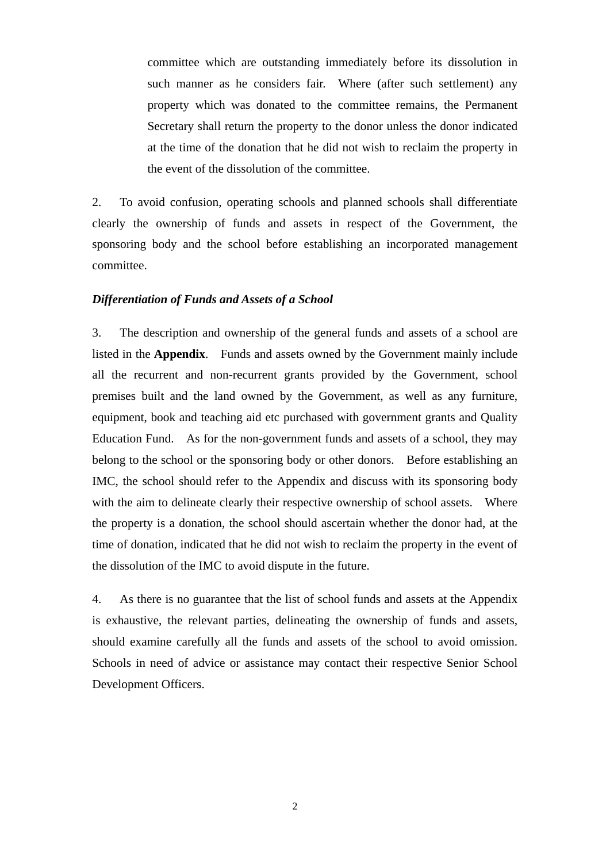committee which are outstanding immediately before its dissolution in such manner as he considers fair. Where (after such settlement) any property which was donated to the committee remains, the Permanent Secretary shall return the property to the donor unless the donor indicated at the time of the donation that he did not wish to reclaim the property in the event of the dissolution of the committee.

2. To avoid confusion, operating schools and planned schools shall differentiate clearly the ownership of funds and assets in respect of the Government, the sponsoring body and the school before establishing an incorporated management committee.

#### *Differentiation of Funds and Assets of a School*

3. The description and ownership of the general funds and assets of a school are listed in the **Appendix**. Funds and assets owned by the Government mainly include all the recurrent and non-recurrent grants provided by the Government, school premises built and the land owned by the Government, as well as any furniture, equipment, book and teaching aid etc purchased with government grants and Quality Education Fund. As for the non-government funds and assets of a school, they may belong to the school or the sponsoring body or other donors. Before establishing an IMC, the school should refer to the Appendix and discuss with its sponsoring body with the aim to delineate clearly their respective ownership of school assets. Where the property is a donation, the school should ascertain whether the donor had, at the time of donation, indicated that he did not wish to reclaim the property in the event of the dissolution of the IMC to avoid dispute in the future.

4. As there is no guarantee that the list of school funds and assets at the Appendix is exhaustive, the relevant parties, delineating the ownership of funds and assets, should examine carefully all the funds and assets of the school to avoid omission. Schools in need of advice or assistance may contact their respective Senior School Development Officers.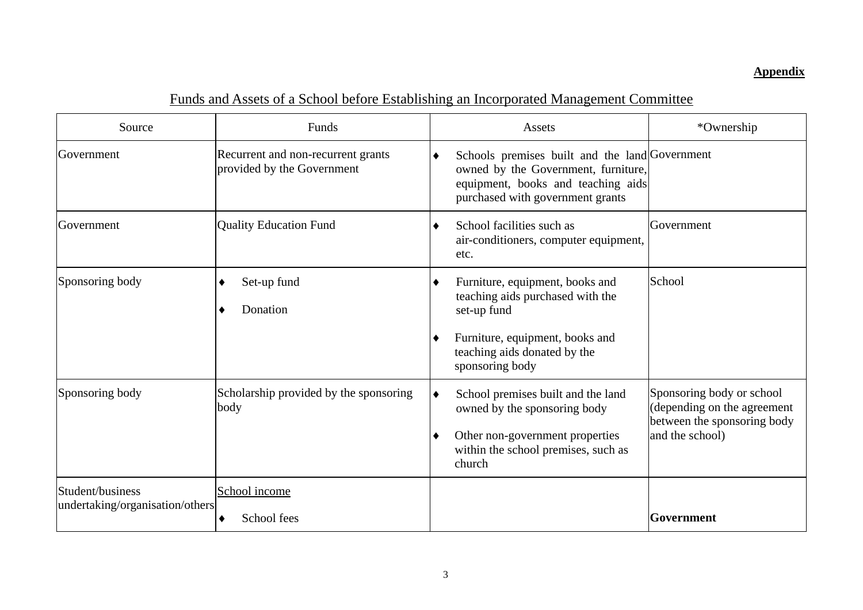### **Appendix**

| Source                                              | Funds                                                            | Assets                                                                                                                                                                             | *Ownership                                                                                                 |
|-----------------------------------------------------|------------------------------------------------------------------|------------------------------------------------------------------------------------------------------------------------------------------------------------------------------------|------------------------------------------------------------------------------------------------------------|
| Government                                          | Recurrent and non-recurrent grants<br>provided by the Government | Schools premises built and the land Government<br>$\bullet$<br>owned by the Government, furniture,<br>equipment, books and teaching aids<br>purchased with government grants       |                                                                                                            |
| Government                                          | <b>Quality Education Fund</b>                                    | School facilities such as<br>٠<br>air-conditioners, computer equipment,<br>etc.                                                                                                    | Government                                                                                                 |
| Sponsoring body                                     | Set-up fund<br>٠<br>Donation<br>٠                                | Furniture, equipment, books and<br>٠<br>teaching aids purchased with the<br>set-up fund<br>Furniture, equipment, books and<br>٠<br>teaching aids donated by the<br>sponsoring body | School                                                                                                     |
| Sponsoring body                                     | Scholarship provided by the sponsoring<br>body                   | School premises built and the land<br>$\bullet$<br>owned by the sponsoring body<br>Other non-government properties<br>within the school premises, such as<br>church                | Sponsoring body or school<br>(depending on the agreement<br>between the sponsoring body<br>and the school) |
| Student/business<br>undertaking/organisation/others | School income<br>School fees<br>٠                                |                                                                                                                                                                                    | Government                                                                                                 |

## Funds and Assets of a School before Establishing an Incorporated Management Committee